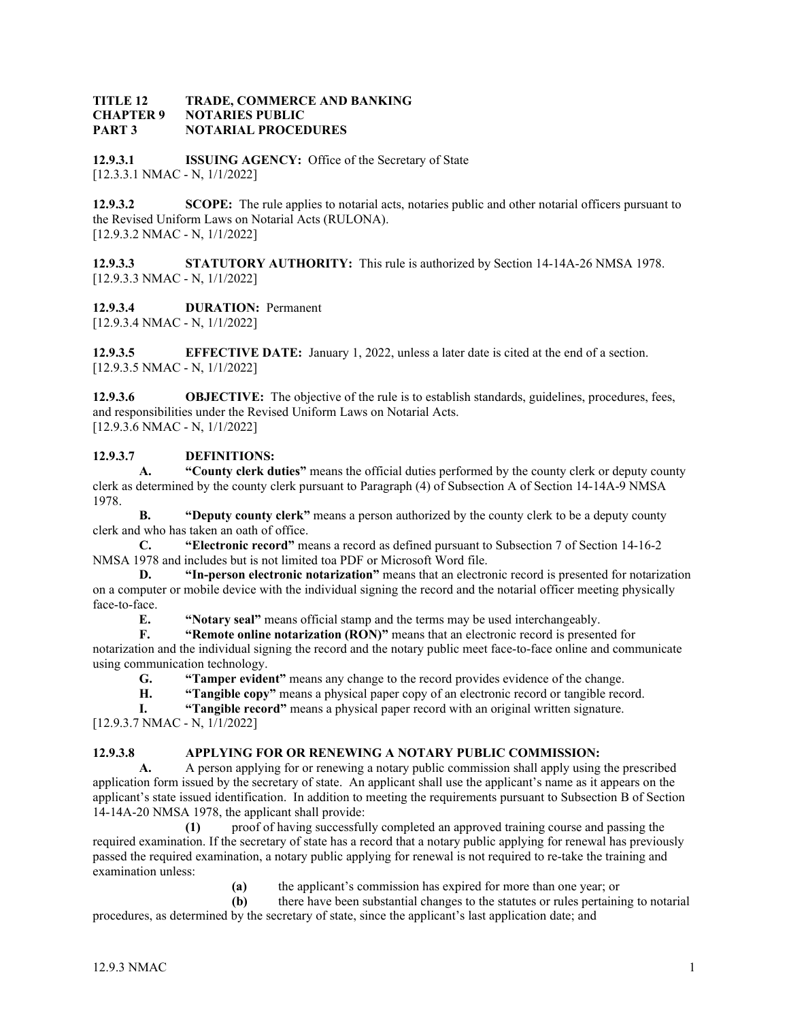#### **TITLE 12 TRADE, COMMERCE AND BANKING CHAPTER 9 NOTARIES PUBLIC PART 3 NOTARIAL PROCEDURES**

**12.9.3.1 ISSUING AGENCY:** Office of the Secretary of State [12.3.3.1 NMAC - N, 1/1/2022]

**12.9.3.2 SCOPE:** The rule applies to notarial acts, notaries public and other notarial officers pursuant to the Revised Uniform Laws on Notarial Acts (RULONA). [12.9.3.2 NMAC - N, 1/1/2022]

**12.9.3.3 STATUTORY AUTHORITY:** This rule is authorized by Section 14-14A-26 NMSA 1978. [12.9.3.3 NMAC - N, 1/1/2022]

**12.9.3.4 DURATION:** Permanent

[12.9.3.4 NMAC - N, 1/1/2022]

**12.9.3.5 EFFECTIVE DATE:** January 1, 2022, unless a later date is cited at the end of a section. [12.9.3.5 NMAC - N, 1/1/2022]

**12.9.3.6 OBJECTIVE:** The objective of the rule is to establish standards, guidelines, procedures, fees, and responsibilities under the Revised Uniform Laws on Notarial Acts. [12.9.3.6 NMAC - N, 1/1/2022]

## **12.9.3.7 DEFINITIONS:**

**A. "County clerk duties"** means the official duties performed by the county clerk or deputy county clerk as determined by the county clerk pursuant to Paragraph (4) of Subsection A of Section 14-14A-9 NMSA 1978.

**B. "Deputy county clerk"** means a person authorized by the county clerk to be a deputy county clerk and who has taken an oath of office.

**C. "Electronic record"** means a record as defined pursuant to Subsection 7 of Section 14-16-2 NMSA 1978 and includes but is not limited toa PDF or Microsoft Word file.

**D. "In-person electronic notarization"** means that an electronic record is presented for notarization on a computer or mobile device with the individual signing the record and the notarial officer meeting physically face-to-face.

**E. "Notary seal"** means official stamp and the terms may be used interchangeably.<br>**F. "Remote online notarization (RON)"** means that an electronic record is presen

**"Remote online notarization (RON)"** means that an electronic record is presented for notarization and the individual signing the record and the notary public meet face-to-face online and communicate

using communication technology.

**G. "Tamper evident"** means any change to the record provides evidence of the change.

**H. "Tangible copy"** means a physical paper copy of an electronic record or tangible record.

**I. "Tangible record"** means a physical paper record with an original written signature. [12.9.3.7 NMAC - N, 1/1/2022]

# **12.9.3.8 APPLYING FOR OR RENEWING A NOTARY PUBLIC COMMISSION:**<br>**A.** A person applying for or renewing a notary public commission shall apply using

**A.** A person applying for or renewing a notary public commission shall apply using the prescribed application form issued by the secretary of state. An applicant shall use the applicant's name as it appears on the applicant's state issued identification. In addition to meeting the requirements pursuant to Subsection B of Section 14-14A-20 NMSA 1978, the applicant shall provide:

**(1)** proof of having successfully completed an approved training course and passing the required examination. If the secretary of state has a record that a notary public applying for renewal has previously passed the required examination, a notary public applying for renewal is not required to re-take the training and examination unless:

**(a)** the applicant's commission has expired for more than one year; or

**(b)** there have been substantial changes to the statutes or rules pertaining to notarial procedures, as determined by the secretary of state, since the applicant's last application date; and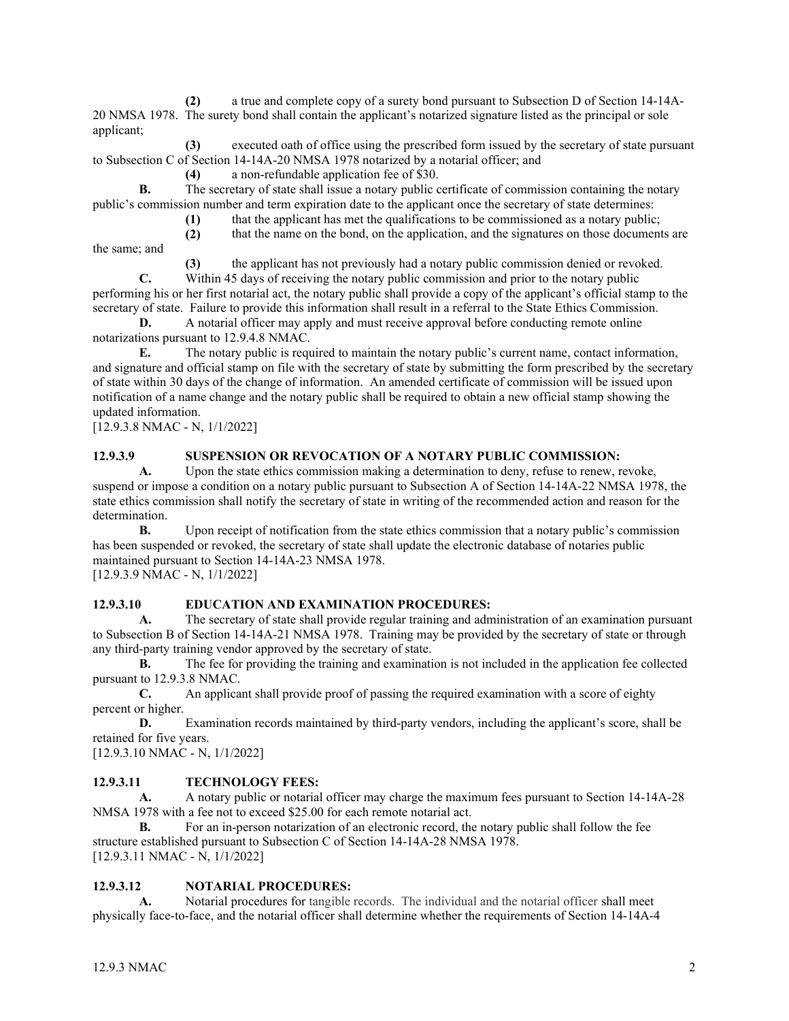**(2)** a true and complete copy of a surety bond pursuant to Subsection D of Section 14-14A-20 NMSA 1978. The surety bond shall contain the applicant's notarized signature listed as the principal or sole applicant;

**(3)** executed oath of office using the prescribed form issued by the secretary of state pursuant to Subsection C of Section 14-14A-20 NMSA 1978 notarized by a notarial officer; and

**(4)** a non-refundable application fee of \$30.

**B.** The secretary of state shall issue a notary public certificate of commission containing the notary public's commission number and term expiration date to the applicant once the secretary of state determines:

**(1)** that the applicant has met the qualifications to be commissioned as a notary public;

**(2)** that the name on the bond, on the application, and the signatures on those documents are the same; and

**(3)** the applicant has not previously had a notary public commission denied or revoked.

**C.** Within 45 days of receiving the notary public commission and prior to the notary public performing his or her first notarial act, the notary public shall provide a copy of the applicant's official stamp to the secretary of state. Failure to provide this information shall result in a referral to the State Ethics Commission.

**D.** A notarial officer may apply and must receive approval before conducting remote online notarizations pursuant to 12.9.4.8 NMAC.

**E.** The notary public is required to maintain the notary public's current name, contact information, and signature and official stamp on file with the secretary of state by submitting the form prescribed by the secretary of state within 30 days of the change of information. An amended certificate of commission will be issued upon notification of a name change and the notary public shall be required to obtain a new official stamp showing the updated information.

[12.9.3.8 NMAC - N, 1/1/2022]

## **12.9.3.9 SUSPENSION OR REVOCATION OF A NOTARY PUBLIC COMMISSION:**

**A.** Upon the state ethics commission making a determination to deny, refuse to renew, revoke, suspend or impose a condition on a notary public pursuant to Subsection A of Section 14-14A-22 NMSA 1978, the state ethics commission shall notify the secretary of state in writing of the recommended action and reason for the determination.

**B.** Upon receipt of notification from the state ethics commission that a notary public's commission has been suspended or revoked, the secretary of state shall update the electronic database of notaries public maintained pursuant to Section 14-14A-23 NMSA 1978. [12.9.3.9 NMAC - N, 1/1/2022]

## **12.9.3.10 EDUCATION AND EXAMINATION PROCEDURES:**

**A.** The secretary of state shall provide regular training and administration of an examination pursuant to Subsection B of Section 14-14A-21 NMSA 1978. Training may be provided by the secretary of state or through any third-party training vendor approved by the secretary of state.

**B.** The fee for providing the training and examination is not included in the application fee collected pursuant to 12.9.3.8 NMAC.

**C.** An applicant shall provide proof of passing the required examination with a score of eighty percent or higher.

**D.** Examination records maintained by third-party vendors, including the applicant's score, shall be retained for five years.

[12.9.3.10 NMAC - N, 1/1/2022]

## **12.9.3.11 TECHNOLOGY FEES:**

**A.** A notary public or notarial officer may charge the maximum fees pursuant to Section 14-14A-28 NMSA 1978 with a fee not to exceed \$25.00 for each remote notarial act.

**B.** For an in-person notarization of an electronic record, the notary public shall follow the fee structure established pursuant to Subsection C of Section 14-14A-28 NMSA 1978. [12.9.3.11 NMAC - N, 1/1/2022]

# **12.9.3.12 NOTARIAL PROCEDURES:**

**A.** Notarial procedures for tangible records. The individual and the notarial officer shall meet physically face-to-face, and the notarial officer shall determine whether the requirements of Section 14-14A-4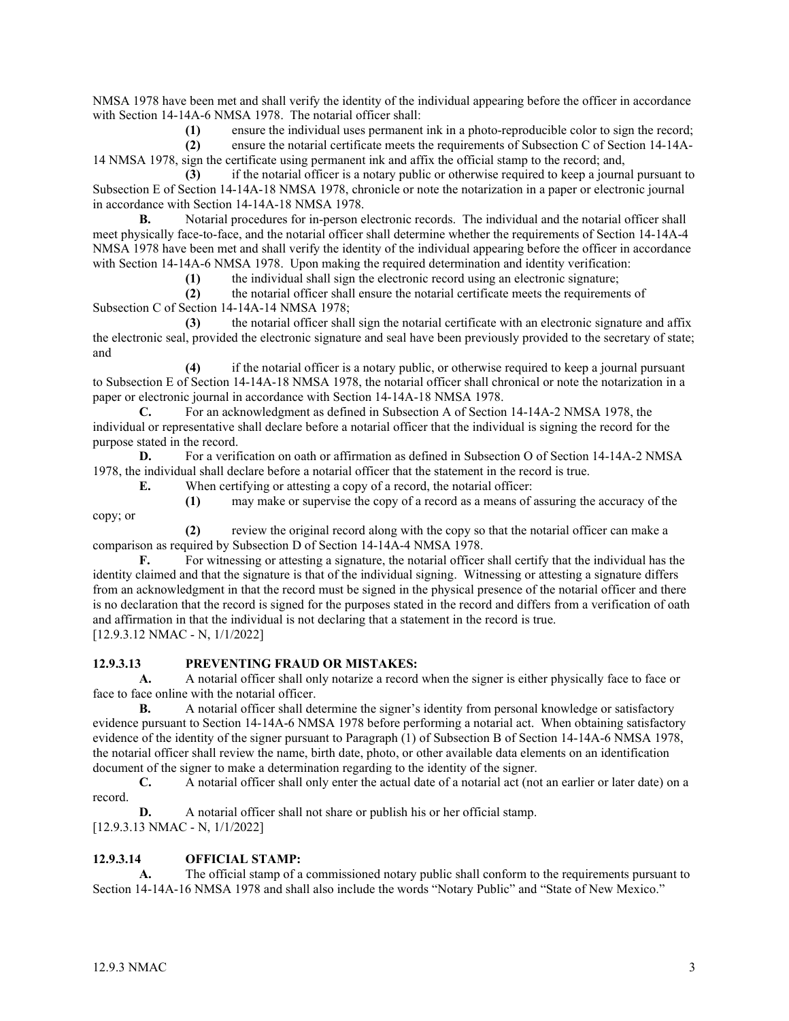NMSA 1978 have been met and shall verify the identity of the individual appearing before the officer in accordance with Section 14-14A-6 NMSA 1978. The notarial officer shall:

**(1)** ensure the individual uses permanent ink in a photo-reproducible color to sign the record;

**(2)** ensure the notarial certificate meets the requirements of Subsection C of Section 14-14A-14 NMSA 1978, sign the certificate using permanent ink and affix the official stamp to the record; and,

**(3)** if the notarial officer is a notary public or otherwise required to keep a journal pursuant to Subsection E of Section 14-14A-18 NMSA 1978, chronicle or note the notarization in a paper or electronic journal in accordance with Section 14-14A-18 NMSA 1978.

**B.** Notarial procedures for in-person electronic records. The individual and the notarial officer shall meet physically face-to-face, and the notarial officer shall determine whether the requirements of Section 14-14A-4 NMSA 1978 have been met and shall verify the identity of the individual appearing before the officer in accordance with Section 14-14A-6 NMSA 1978. Upon making the required determination and identity verification:

**(1)** the individual shall sign the electronic record using an electronic signature;

**(2)** the notarial officer shall ensure the notarial certificate meets the requirements of Subsection C of Section 14-14A-14 NMSA 1978;

**(3)** the notarial officer shall sign the notarial certificate with an electronic signature and affix the electronic seal, provided the electronic signature and seal have been previously provided to the secretary of state; and

**(4)** if the notarial officer is a notary public, or otherwise required to keep a journal pursuant to Subsection E of Section 14-14A-18 NMSA 1978, the notarial officer shall chronical or note the notarization in a paper or electronic journal in accordance with Section 14-14A-18 NMSA 1978.

**C.** For an acknowledgment as defined in Subsection A of Section 14-14A-2 NMSA 1978, the individual or representative shall declare before a notarial officer that the individual is signing the record for the purpose stated in the record.

**D.** For a verification on oath or affirmation as defined in Subsection O of Section 14-14A-2 NMSA 1978, the individual shall declare before a notarial officer that the statement in the record is true.

**E.** When certifying or attesting a copy of a record, the notarial officer:

**(1)** may make or supervise the copy of a record as a means of assuring the accuracy of the

**(2)** review the original record along with the copy so that the notarial officer can make a comparison as required by Subsection D of Section 14-14A-4 NMSA 1978.

**F.** For witnessing or attesting a signature, the notarial officer shall certify that the individual has the identity claimed and that the signature is that of the individual signing. Witnessing or attesting a signature differs from an acknowledgment in that the record must be signed in the physical presence of the notarial officer and there is no declaration that the record is signed for the purposes stated in the record and differs from a verification of oath and affirmation in that the individual is not declaring that a statement in the record is true. [12.9.3.12 NMAC - N, 1/1/2022]

## **12.9.3.13 PREVENTING FRAUD OR MISTAKES:**

**A.** A notarial officer shall only notarize a record when the signer is either physically face to face or face to face online with the notarial officer.

**B.** A notarial officer shall determine the signer's identity from personal knowledge or satisfactory evidence pursuant to Section 14-14A-6 NMSA 1978 before performing a notarial act. When obtaining satisfactory evidence of the identity of the signer pursuant to Paragraph (1) of Subsection B of Section 14-14A-6 NMSA 1978, the notarial officer shall review the name, birth date, photo, or other available data elements on an identification document of the signer to make a determination regarding to the identity of the signer.

**C.** A notarial officer shall only enter the actual date of a notarial act (not an earlier or later date) on a record.

**D.** A notarial officer shall not share or publish his or her official stamp.

[12.9.3.13 NMAC - N, 1/1/2022]

# **12.9.3.14 OFFICIAL STAMP:**

**A.** The official stamp of a commissioned notary public shall conform to the requirements pursuant to Section 14-14A-16 NMSA 1978 and shall also include the words "Notary Public" and "State of New Mexico."

copy; or